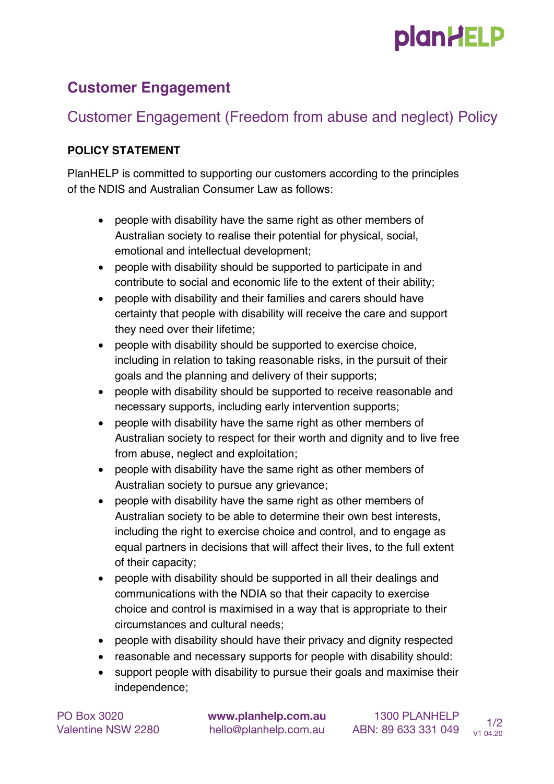# **plan HELP**

#### **Customer Engagement**

### Customer Engagement (Freedom from abuse and neglect) Policy

#### **POLICY STATEMENT**

PlanHELP is committed to supporting our customers according to the principles of the NDIS and Australian Consumer Law as follows:

- people with disability have the same right as other members of Australian society to realise their potential for physical, social, emotional and intellectual development;
- people with disability should be supported to participate in and contribute to social and economic life to the extent of their ability;
- people with disability and their families and carers should have certainty that people with disability will receive the care and support they need over their lifetime;
- people with disability should be supported to exercise choice, including in relation to taking reasonable risks, in the pursuit of their goals and the planning and delivery of their supports;
- people with disability should be supported to receive reasonable and necessary supports, including early intervention supports;
- people with disability have the same right as other members of Australian society to respect for their worth and dignity and to live free from abuse, neglect and exploitation;
- people with disability have the same right as other members of Australian society to pursue any grievance;
- people with disability have the same right as other members of Australian society to be able to determine their own best interests, including the right to exercise choice and control, and to engage as equal partners in decisions that will affect their lives, to the full extent of their capacity;
- people with disability should be supported in all their dealings and communications with the NDIA so that their capacity to exercise choice and control is maximised in a way that is appropriate to their circumstances and cultural needs;
- people with disability should have their privacy and dignity respected
- reasonable and necessary supports for people with disability should:
- support people with disability to pursue their goals and maximise their independence;

PO Box 3020 **www.planhelp.com.au** 1300 PLANHELP Valentine NSW 2280 hello@planhelp.com.au ABN: 89 633 331 049